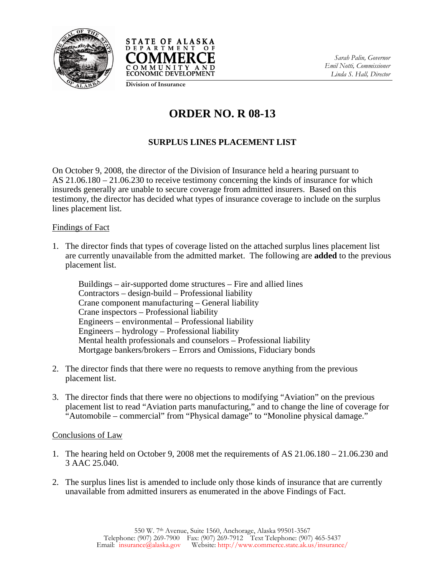



*Sarah Palin, Governor Emil Notti, Commissioner Linda S. Hall, Director* 

**Division of Insurance**

## **ORDER NO. R 08-13**

## **SURPLUS LINES PLACEMENT LIST**

On October 9, 2008, the director of the Division of Insurance held a hearing pursuant to AS 21.06.180 – 21.06.230 to receive testimony concerning the kinds of insurance for which insureds generally are unable to secure coverage from admitted insurers. Based on this testimony, the director has decided what types of insurance coverage to include on the surplus lines placement list.

## Findings of Fact

1. The director finds that types of coverage listed on the attached surplus lines placement list are currently unavailable from the admitted market. The following are **added** to the previous placement list.

Buildings – air-supported dome structures – Fire and allied lines Contractors – design-build – Professional liability Crane component manufacturing – General liability Crane inspectors – Professional liability Engineers – environmental – Professional liability Engineers – hydrology – Professional liability Mental health professionals and counselors – Professional liability Mortgage bankers/brokers – Errors and Omissions, Fiduciary bonds

- 2. The director finds that there were no requests to remove anything from the previous placement list.
- 3. The director finds that there were no objections to modifying "Aviation" on the previous placement list to read "Aviation parts manufacturing," and to change the line of coverage for "Automobile – commercial" from "Physical damage" to "Monoline physical damage."

## Conclusions of Law

- 1. The hearing held on October 9, 2008 met the requirements of AS 21.06.180 21.06.230 and 3 AAC 25.040.
- 2. The surplus lines list is amended to include only those kinds of insurance that are currently unavailable from admitted insurers as enumerated in the above Findings of Fact.